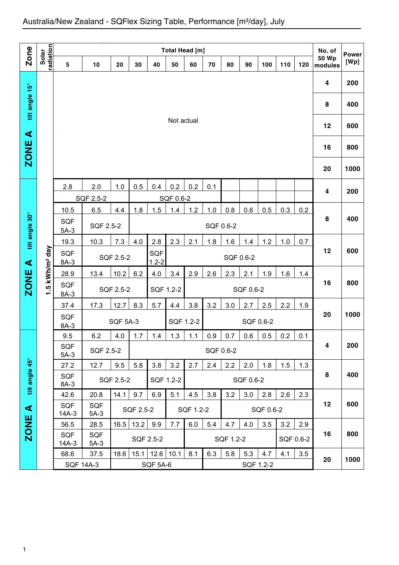| Zone                 |                           |                                                                                           | <b>Total Head [m]</b>                                                               |                                                                            |           |                 |            |           |           |           |           |           |     |     | No. of                  | <b>Power</b> |
|----------------------|---------------------------|-------------------------------------------------------------------------------------------|-------------------------------------------------------------------------------------|----------------------------------------------------------------------------|-----------|-----------------|------------|-----------|-----------|-----------|-----------|-----------|-----|-----|-------------------------|--------------|
|                      | radiation<br>Solar        | 5                                                                                         | 10                                                                                  | 20                                                                         | 30        | 40              | 50         | 60        | 70        | 80        | 90        | 100       | 110 | 120 | <b>50 Wp</b><br>modules | [Wp]         |
|                      |                           |                                                                                           |                                                                                     |                                                                            |           |                 |            |           |           |           |           |           |     |     | 4                       | 200          |
| tilt angle 15°       |                           |                                                                                           |                                                                                     |                                                                            |           |                 |            |           |           |           |           |           |     |     | 8                       | 400          |
| $\blacktriangleleft$ |                           |                                                                                           |                                                                                     |                                                                            |           |                 | Not actual |           |           |           |           |           |     |     | 12                      | 600          |
| <b>ZONE</b>          |                           |                                                                                           |                                                                                     |                                                                            |           |                 |            |           |           |           |           |           |     |     | 16                      | 800          |
|                      |                           |                                                                                           |                                                                                     |                                                                            |           |                 |            |           |           |           |           |           |     |     | 20                      | 1000         |
|                      |                           | 2.8                                                                                       | 2.0                                                                                 | 1.0                                                                        | 0.5       | 0.4             | 0.2        | 0.2       | 0.1       |           |           |           |     |     | 4                       | 200          |
|                      |                           |                                                                                           | SQF 2.5-2                                                                           |                                                                            |           |                 | SQF 0.6-2  |           |           |           |           |           |     |     |                         |              |
|                      |                           | 10.5                                                                                      | 6.5                                                                                 | 4.4                                                                        | 1.8       | 1.5             | 1.4        | 1.2       | 1.0       | 0.8       | 0.6       | 0.5       | 0.3 | 0.2 | 8                       | 400          |
| tilt angle 30°       |                           | <b>SQF</b><br>$5A-3$                                                                      | SQF 2.5-2                                                                           |                                                                            |           |                 |            |           | SQF 0.6-2 |           |           |           |     |     |                         |              |
|                      |                           | 19.3                                                                                      | 10.3                                                                                | 7.3<br>2.8<br>2.3<br>1.8<br>1.6<br>1.2<br>4.0<br>2.1<br>1.4<br>1.0<br>0.7  |           |                 |            |           |           |           |           |           |     |     |                         |              |
| $\blacktriangleleft$ | .5 kWh/m <sup>2</sup> day | <b>SQF</b><br>SQF<br>SQF 2.5-2<br>SQF 0.6-2<br>$1.2 - 2$<br>$8A-3$                        |                                                                                     |                                                                            |           |                 |            |           |           |           |           | 12        | 600 |     |                         |              |
|                      |                           | 28.9                                                                                      | 13.4                                                                                | 4.0<br>2.9<br>2.3<br>1.9<br>1.6<br>10.2<br>6.2<br>3.4<br>2.6<br>2.1<br>1.4 |           |                 |            |           |           |           |           |           |     |     |                         |              |
| ZONE                 | ↽                         | SQF<br>$8A-3$                                                                             |                                                                                     | SQF 2.5-2                                                                  |           |                 | SQF 1.2-2  |           |           |           | SQF 0.6-2 |           |     |     | 16                      | 800          |
|                      |                           | 37.4                                                                                      | 17.3                                                                                | 12.7                                                                       | 8.3       | 5.7             | 4.4        | 3.8       | 3.2       | 3.0       | 2.7       | 2.5       | 2.2 | 1.9 |                         |              |
|                      |                           | <b>SQF</b><br>$8A-3$                                                                      |                                                                                     | <b>SQF 5A-3</b>                                                            |           |                 |            | SQF 1.2-2 |           |           |           | SQF 0.6-2 |     |     | 20                      | 1000         |
|                      |                           | 9.5                                                                                       | 6.2                                                                                 | 4.0                                                                        | 1.7       | 1.4             | 1.3        | 1.1       | 0.9       | 0.7       | 0.6       | 0.5       | 0.2 | 0.1 |                         |              |
|                      |                           | <b>SQF</b><br>$5A-3$                                                                      | SQF 2.5-2                                                                           |                                                                            |           |                 |            |           |           | SQF 0.6-2 |           |           |     |     | 4                       | 200          |
|                      |                           | 9.5<br>5.8<br>3.2<br>2.4<br>2.2<br>1.5<br>27.2<br>12.7<br>3.8<br>2.7<br>2.0<br>1.8<br>1.3 |                                                                                     |                                                                            |           |                 |            |           |           |           |           |           |     |     |                         |              |
| tilt angle 45°       |                           | <b>SQF</b><br>8A-3                                                                        | SQF 2.5-2<br>SQF 1.2-2<br>SQF 0.6-2                                                 |                                                                            |           |                 |            |           |           |           |           | 8         | 400 |     |                         |              |
|                      |                           | 42.6                                                                                      | 20.8                                                                                | 14.1                                                                       | 9.7       | 6.9             | 5.1        | 4.5       | 3.8       | 3.2       | 3.0       | 2.8       | 2.6 | 2.3 |                         |              |
| $\blacktriangleleft$ |                           | <b>SQF</b><br>$14A-3$                                                                     | <b>SQF</b><br>$5A-3$                                                                |                                                                            | SQF 2.5-2 |                 |            | SQF 1.2-2 |           |           |           | SQF 0.6-2 |     |     | 12                      | 600          |
| <b>ZONE</b>          |                           | 56.5                                                                                      | 13.2<br>9.9<br>6.0<br>3.5<br>3.2<br>28.5<br>16.5<br>7.7<br>5.4<br>4.7<br>4.0<br>2.9 |                                                                            |           |                 |            |           |           |           |           |           |     |     |                         |              |
|                      |                           | SQF<br><b>SQF</b><br>SQF 2.5-2<br>SQF 0.6-2<br>SQF 1.2-2<br>$14A-3$<br>$5A-3$             |                                                                                     |                                                                            |           |                 |            |           |           |           |           |           | 16  | 800 |                         |              |
|                      |                           | 68.6                                                                                      | 37.5                                                                                | 18.6                                                                       | 15.1      | 12.6            | 10.1       | 8.1       | 6.3       | 5.8       | 5.3       | 4.7       | 4.1 | 3.5 | 20                      | 1000         |
|                      |                           | <b>SQF 14A-3</b>                                                                          |                                                                                     |                                                                            |           | <b>SQF 5A-6</b> |            |           |           |           |           | SQF 1.2-2 |     |     |                         |              |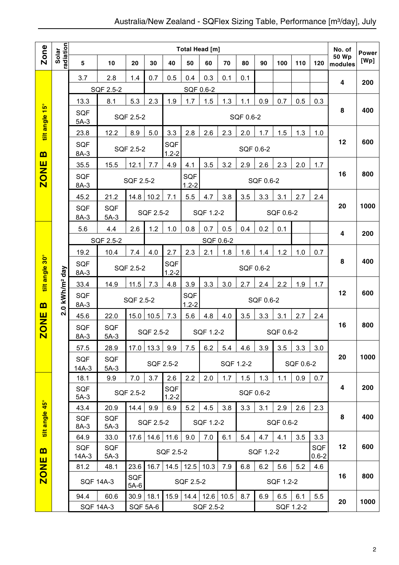|                                 |                         |                       | Total Head [m]       |                      |                 |                         |                                                      |                |     |           |           |           |           | No. of                  | <b>Power</b>            |      |
|---------------------------------|-------------------------|-----------------------|----------------------|----------------------|-----------------|-------------------------|------------------------------------------------------|----------------|-----|-----------|-----------|-----------|-----------|-------------------------|-------------------------|------|
| <b>Zone</b>                     | radiation<br>Solar      | 5                     | 10                   | 20                   | 30              | 40                      | 50                                                   | 60             | 70  | 80        | 90        | 100       | 110       | 120                     | <b>50 Wp</b><br>modules | [Wp] |
|                                 |                         | 3.7                   | 2.8                  | 1.4                  | 0.7             | 0.5                     | 0.4                                                  | 0.3            | 0.1 | 0.1       |           |           |           |                         | 4                       | 200  |
|                                 |                         |                       | SQF 2.5-2            |                      |                 |                         | SQF 0.6-2                                            |                |     |           |           |           |           |                         |                         |      |
|                                 |                         | 13.3                  | 8.1                  | 5.3                  | 2.3             | 1.9                     | 1.7                                                  | 1.5            | 1.3 | 1.1       | 0.9       | 0.7       | 0.5       | 0.3                     |                         |      |
| $\frac{15^{\circ}}{15^{\circ}}$ |                         | <b>SQF</b><br>$5A-3$  |                      | SQF 2.5-2            |                 |                         |                                                      |                |     | SQF 0.6-2 |           |           |           |                         | 8                       | 400  |
| tilt angle                      |                         | 23.8                  | 12.2                 | 8.9                  | 5.0             | 3.3                     | 2.8                                                  | 2.6            | 2.3 | 2.0       | 1.7       | 1.5       | 1.3       | 1.0                     |                         |      |
| $\mathbf{m}$                    |                         | <b>SQF</b><br>8A-3    |                      | <b>SQF 2.5-2</b>     |                 | <b>SQF</b><br>$1.2 - 2$ |                                                      |                |     |           | SQF 0.6-2 |           |           |                         | 12                      | 600  |
|                                 |                         | 35.5                  | 15.5                 | 12.1                 | 7.7             | 4.9                     | 4.1                                                  | 3.5            | 3.2 | 2.9       | 2.6       | 2.3       | 2.0       | 1.7                     |                         |      |
| <b>ZONE</b>                     |                         | <b>SQF</b><br>8A-3    |                      | <b>SQF 2.5-2</b>     |                 |                         | <b>SQF</b><br>$1.2 - 2$                              |                |     |           | SQF 0.6-2 |           |           |                         | 16                      | 800  |
|                                 |                         | 45.2                  | 21.2                 | 14.8                 | 10.2            | 7.1                     | 5.5                                                  | 4.7            | 3.8 | 3.5       | 3.3       | 3.1       | 2.7       | 2.4                     |                         |      |
|                                 |                         | <b>SQF</b><br>8A-3    | <b>SQF</b><br>$5A-3$ |                      | SQF 2.5-2       |                         |                                                      | SQF 1.2-2      |     |           |           | SQF 0.6-2 |           |                         | 20                      | 1000 |
|                                 |                         | 5.6                   | 4.4                  | 2.6                  | 1.2             | 1.0                     | 0.8                                                  | 0.7            | 0.5 | 0.4       | 0.2       | 0.1       |           |                         | 4                       | 200  |
|                                 |                         |                       | SQF 2.5-2            |                      |                 |                         |                                                      | SQF 0.6-2      |     |           |           |           |           |                         |                         |      |
| $30^\circ$                      |                         | 19.2                  | 10.4                 | 7.4                  | 4.0             | 2.7                     | 2.3<br>2.1<br>1.2<br>1.8<br>1.6<br>1.4<br>1.0<br>0.7 |                |     |           |           |           |           |                         |                         |      |
| tilt angle                      | day                     | SQF<br>8A-3           |                      | SQF 2.5-2            |                 | SQF<br>$1.2 - 2$        |                                                      |                |     |           | SQF 0.6-2 |           |           |                         | 8                       | 400  |
|                                 |                         | 33.4                  | 14.9                 | 11.5                 | 7.3             | 4.8                     | 3.9                                                  | 3.3            | 3.0 | 2.7       | 2.4       | 2.2       | 1.9       | 1.7                     |                         |      |
| m                               | $.0$ kWh/m <sup>2</sup> | <b>SQF</b><br>8A-3    |                      | SQF 2.5-2            |                 |                         | <b>SQF</b><br>$1.2 - 2$                              |                |     |           | SQF 0.6-2 |           |           |                         | 12                      | 600  |
|                                 | $\mathbf{N}$            | 45.6                  | 22.0                 | 15.0                 | 10.5            | 7.3                     | 5.6                                                  | 4.8            | 4.0 | 3.5       | 3.3       | 3.1       | 2.7       | 2.4                     |                         |      |
| <b>ZONE</b>                     |                         | <b>SQF</b><br>8A-3    | <b>SQF</b><br>$5A-3$ |                      | SQF 2.5-2       |                         |                                                      | SQF 1.2-2      |     |           |           | SQF 0.6-2 |           |                         | 16                      | 800  |
|                                 |                         | 57.5                  | 28.9                 | 17.0                 | 13.3            | 9.9                     | 7.5                                                  | 6.2            | 5.4 | 4.6       | 3.9       | 3.5       | 3.3       | 3.0                     |                         |      |
|                                 |                         | <b>SQF</b><br>$14A-3$ | <b>SQF</b><br>$5A-3$ |                      |                 | SQF 2.5-2               |                                                      |                |     | SQF 1.2-2 |           |           | SQF 0.6-2 |                         | 20                      | 1000 |
|                                 |                         | 18.1                  | 9.9                  | 7.0                  | 3.7             | 2.6                     | 2.2                                                  | 2.0            | 1.7 | 1.5       | 1.3       | 1.1       | 0.9       | 0.7                     |                         |      |
|                                 |                         | <b>SQF</b><br>$5A-3$  |                      | SQF 2.5-2            |                 | <b>SQF</b><br>$1.2 - 2$ |                                                      |                |     |           | SQF 0.6-2 |           |           |                         | 4                       | 200  |
| $45^{\circ}$                    |                         | 43.4                  | 20.9                 | 14.4                 | 9.9             | 6.9                     | 5.2                                                  | 4.5            | 3.8 | 3.3       | 3.1       | 2.9       | 2.6       | 2.3                     |                         |      |
| tilt angle                      |                         | <b>SQF</b><br>8A-3    | <b>SQF</b><br>$5A-3$ |                      | SQF 2.5-2       |                         |                                                      | SQF 1.2-2      |     |           |           | SQF 0.6-2 |           |                         | 8                       | 400  |
|                                 |                         | 64.9                  | 33.0                 | 17.6                 | 14.6            | 11.6                    | 9.0                                                  | 7.0            | 6.1 | 5.4       | 4.7       | 4.1       | 3.5       | 3.3                     |                         |      |
| B                               |                         | <b>SQF</b><br>$14A-3$ | <b>SQF</b><br>$5A-3$ |                      |                 | SQF 2.5-2               |                                                      |                |     |           | SQF 1.2-2 |           |           | <b>SQF</b><br>$0.6 - 2$ | 12                      | 600  |
| <b>ZONE</b>                     |                         | 81.2                  | 48.1                 | 23.6                 | 16.7            | 14.5                    |                                                      | $12.5$ 10.3    | 7.9 | 6.8       | 6.2       | 5.6       | 5.2       | 4.6                     |                         |      |
|                                 |                         |                       | <b>SQF 14A-3</b>     | <b>SQF</b><br>$5A-6$ |                 |                         | SQF 2.5-2                                            |                |     |           |           | SQF 1.2-2 |           |                         | 16                      | 800  |
|                                 |                         | 94.4                  | 60.6                 | $30.9$ 18.1          |                 | 15.9                    |                                                      | 14.4 12.6 10.5 |     | 8.7       | 6.9       | 6.5       | 6.1       | 5.5                     | 20                      | 1000 |
|                                 |                         |                       | <b>SQF 14A-3</b>     |                      | <b>SQF 5A-6</b> |                         |                                                      | SQF 2.5-2      |     |           |           |           | SQF 1.2-2 |                         |                         |      |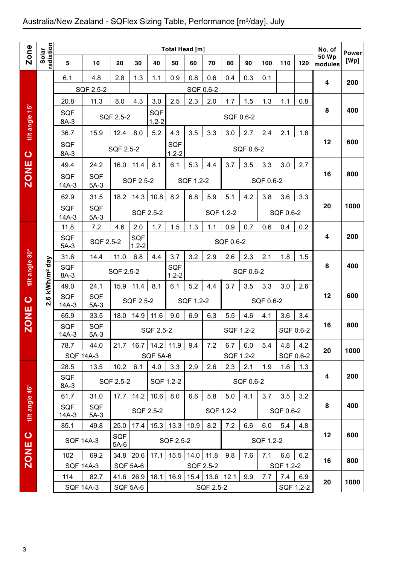## Australia/New Zealand - SQFlex Sizing Table, Performance [m3/day], July

|                |                           |                       |                          |               |                         |                      | Total Head [m]   |           |                   |           |           |           |           |                  | No. of                  | <b>Power</b> |
|----------------|---------------------------|-----------------------|--------------------------|---------------|-------------------------|----------------------|------------------|-----------|-------------------|-----------|-----------|-----------|-----------|------------------|-------------------------|--------------|
| <b>Zone</b>    | radiation<br>Solar        | 5                     | 10                       | 20            | 30                      | 40                   | 50               | 60        | 70                | 80        | 90        | 100       | 110       | 120              | <b>50 Wp</b><br>modules | [Wp]         |
|                |                           | 6.1                   | 4.8                      | 2.8           | 1.3                     | 1.1                  | 0.9              | 0.8       | 0.6               | 0.4       | 0.3       | 0.1       |           |                  | $\overline{4}$          |              |
|                |                           |                       | SQF 2.5-2                |               |                         |                      |                  | SQF 0.6-2 |                   |           |           |           |           |                  |                         | 200          |
|                |                           | 20.8                  | 11.3                     | 8.0           | 4.3                     | 3.0                  | 2.5              | 2.3       | 2.0               | 1.7       | 1.5       | 1.3       | 1.1       | 0.8              |                         |              |
| tilt angle 15° |                           | <b>SQF</b><br>8A-3    |                          | SQF 2.5-2     |                         | SQF<br>$1.2 - 2$     |                  |           |                   | SQF 0.6-2 |           |           |           |                  | 8                       | 400          |
|                |                           | 36.7                  | 15.9                     | 12.4          | 8.0                     | 5.2                  | 4.3              | 3.5       | 3.3               | 3.0       | 2.7       | 2.4       | 2.1       | 1.8              |                         |              |
| $\mathbf C$    |                           | <b>SQF</b><br>8A-3    |                          | SQF 2.5-2     |                         |                      | SQF<br>$1.2 - 2$ |           |                   |           | SQF 0.6-2 |           |           |                  | 12                      | 600          |
|                |                           | 49.4                  | 24.2                     | 16.0          | 11.4                    | 8.1                  | 6.1              | 5.3       | 4.4               | 3.7       | 3.5       | 3.3       | 3.0       | 2.7              |                         |              |
| <b>ZONE</b>    |                           | SQF<br>$14A-3$        | <b>SQF</b><br>$5A-3$     |               | SQF 2.5-2               |                      |                  | SQF 1.2-2 |                   |           |           | SQF 0.6-2 |           |                  | 16                      | 800          |
|                |                           | 62.9                  | 31.5                     | 18.2          | 14.3                    | 10.8                 | 8.2              | 6.8       | 5.9               | 5.1       | 4.2       | 3.8       | 3.6       | 3.3              |                         |              |
|                |                           | <b>SQF</b><br>$14A-3$ | <b>SQF</b><br>$5A-3$     |               |                         | SQF 2.5-2            |                  |           | SQF 1.2-2         |           |           |           | SQF 0.6-2 |                  | 20                      | 1000         |
|                |                           | 11.8                  | 7.2                      | 4.6           | 2.0                     | 1.7                  | 1.5              | 1.3       | 1.1               | 0.9       | 0.7       | 0.6       | 0.4       | 0.2              |                         |              |
|                |                           | <b>SQF</b><br>$5A-3$  | SQF 2.5-2                |               | <b>SQF</b><br>$1.2 - 2$ |                      |                  |           |                   | SQF 0.6-2 |           |           |           |                  | 4                       | 200          |
|                |                           | 31.6                  | 14.4                     | 11.0          | 6.8                     | 4.4                  | 3.7              | 3.2       | 2.9               | 2.6       | 2.3       | 2.1       | 1.8       | 1.5              |                         |              |
| tilt angle 30° | kWh/m <sup>2</sup> day    | SQF<br>8A-3           |                          | SQF 2.5-2     |                         |                      | SQF<br>$1.2 - 2$ |           |                   |           | SQF 0.6-2 |           |           |                  | 8                       | 400          |
|                |                           | 49.0                  | 24.1                     | 15.9          | 11.4                    | 8.1                  | 6.1              | 5.2       | 4.4               | 3.7       | 3.5       | 3.3       | 3.0       | 2.6              |                         |              |
| $\mathbf C$    | $\mathbf  \omega$<br>ี่∾่ | SQF<br>$14A-3$        | <b>SQF</b><br>$5A-3$     |               | SQF 2.5-2               |                      |                  | SQF 1.2-2 |                   |           |           | SQF 0.6-2 |           |                  | 12                      | 600          |
| <b>ZONE</b>    |                           | 65.9                  | 33.5                     | 18.0          | 14.9                    | 11.6                 | 9.0              | 6.9       | 6.3               | 5.5       | 4.6       | 4.1       | 3.6       | 3.4              |                         |              |
|                |                           | <b>SQF</b><br>$14A-3$ | <b>SQF</b><br>$5A-3$     |               |                         | SQF 2.5-2            |                  |           |                   |           | SQF 1.2-2 |           |           | SQF 0.6-2        | 16                      | 800          |
|                |                           | 78.7                  | 44.0                     | 21.7          |                         | $16.7$   14.2   11.9 |                  | 9.4       | 7.2               | 6.7       | 6.0       | 5.4       | 4.8       | 4.2              | 20                      | 1000         |
|                |                           | <b>SQF 14A-3</b>      |                          |               |                         | <b>SQF 5A-6</b>      |                  |           |                   |           | SQF 1.2-2 |           | SQF 0.6-2 |                  |                         |              |
|                |                           | 28.5<br><b>SQF</b>    | 13.5                     | 10.2          | 6.1                     | 4.0                  | 3.3              | 2.9       | 2.6               | 2.3       | 2.1       | 1.9       | 1.6       | 1.3              | 4                       | 200          |
|                |                           | 8A-3                  |                          | SQF 2.5-2     |                         |                      | SQF 1.2-2        |           |                   |           | SQF 0.6-2 |           |           |                  |                         |              |
|                |                           | 61.7                  | 31.0                     | 17.7          | 14.2                    | 10.6                 | 8.0              | 6.6       | 5.8               | 5.0       | 4.1       | 3.7       | 3.5       | 3.2              |                         |              |
| tilt angle 45° |                           | <b>SQF</b><br>$14A-3$ | <b>SQF</b><br>$5A-3$     |               |                         | SQF 2.5-2            |                  |           |                   | SQF 1.2-2 |           |           | SQF 0.6-2 |                  | 8                       | 400          |
|                |                           | 85.1                  | 49.8                     | 25.0          | 17.4                    |                      | $15.3$   13.3    | 10.9      | 8.2               | 7.2       | 6.6       | 6.0       | 5.4       | 4.8              |                         |              |
| $\bullet$      |                           | <b>SQF 14A-3</b>      |                          | SQF<br>$5A-6$ |                         |                      | SQF 2.5-2        |           |                   |           |           | SQF 1.2-2 |           |                  | 12                      | 600          |
| <b>ZONE</b>    |                           | 102                   | 69.2                     | 34.8          | 20.6                    | 17.1                 | 15.5             | 14.0      | 11.8              | 9.8       | 7.6       | 7.1       | 6.6       | 6.2              | 16                      | 800          |
|                |                           | <b>SQF 14A-3</b>      |                          |               | SQF 5A-6                |                      |                  | SQF 2.5-2 |                   |           |           |           | SQF 1.2-2 |                  |                         |              |
|                |                           | 114                   | 82.7<br><b>SQF 14A-3</b> | 41.6          | 26.9<br>SQF 5A-6        | 18.1                 | 16.9             | 15.4      | 13.6<br>SQF 2.5-2 | 12.1      | 9.9       | 7.7       | 7.4       | 6.9<br>SQF 1.2-2 | 20                      | 1000         |
|                |                           |                       |                          |               |                         |                      |                  |           |                   |           |           |           |           |                  |                         |              |
| 3              |                           |                       |                          |               |                         |                      |                  |           |                   |           |           |           |           |                  |                         |              |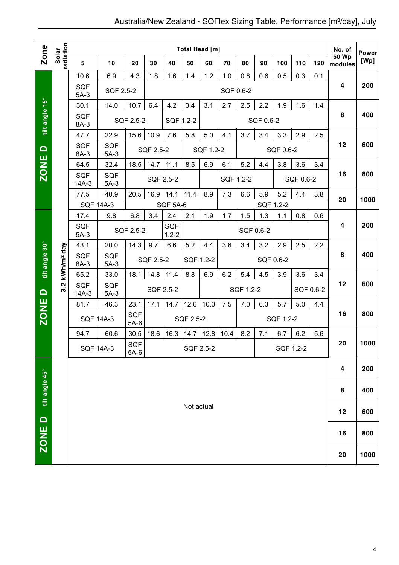| <b>Zone</b>                               |                            |                       |                      |               |                               |                 |            | <b>Total Head [m]</b> |      |           |           |           |           |     | No. of                  | <b>Power</b> |
|-------------------------------------------|----------------------------|-----------------------|----------------------|---------------|-------------------------------|-----------------|------------|-----------------------|------|-----------|-----------|-----------|-----------|-----|-------------------------|--------------|
|                                           | radiation<br>Solar         | $5\phantom{1}$        | 10                   | 20            | 30                            | 40              | 50         | 60                    | 70   | 80        | 90        | 100       | 110       | 120 | <b>50 Wp</b><br>modules | [Wp]         |
|                                           |                            | 10.6                  | 6.9                  | 4.3           | 1.8                           | 1.6             | 1.4        | 1.2                   | 1.0  | 0.8       | 0.6       | 0.5       | 0.3       | 0.1 |                         |              |
|                                           |                            | SQF<br>$5A-3$         | SQF 2.5-2            |               |                               |                 |            |                       |      | SQF 0.6-2 |           |           |           |     | $\overline{\mathbf{4}}$ | 200          |
|                                           |                            | 30.1                  | 14.0                 | 10.7          | 6.4                           | 4.2             | 3.4        | 3.1                   | 2.7  | 2.5       | 2.2       | 1.9       | 1.6       | 1.4 |                         |              |
| tilt angle 15°                            |                            | <b>SQF</b><br>8A-3    |                      | SQF 2.5-2     |                               | SQF 1.2-2       |            |                       |      |           | SQF 0.6-2 |           |           |     | 8                       | 400          |
|                                           |                            | 47.7                  | 22.9                 | 15.6          | 10.9                          | 7.6             | 5.8        | 5.0                   | 4.1  | 3.7       | 3.4       | 3.3       | 2.9       | 2.5 |                         |              |
| $\Omega$                                  |                            | <b>SQF</b><br>8A-3    | <b>SQF</b><br>$5A-3$ |               | SQF 2.5-2                     |                 |            | SQF 1.2-2             |      |           |           | SQF 0.6-2 |           |     | 12                      | 600          |
|                                           |                            | 64.5                  | 32.4                 | 18.5          | 14.7                          | 11.1            | 8.5        | 6.9                   | 6.1  | 5.2       | 4.4       | 3.8       | 3.6       | 3.4 |                         |              |
| <b>ZONE</b>                               |                            | <b>SQF</b><br>$14A-3$ | <b>SQF</b><br>$5A-3$ |               |                               | SQF 2.5-2       |            |                       |      | SQF 1.2-2 |           |           | SQF 0.6-2 |     | 16                      | 800          |
|                                           |                            | 77.5                  | 40.9                 | 20.5          | 16.9                          | 14.1            | 11.4       | 8.9                   | 7.3  | 6.6       | 5.9       | 5.2       | 4.4       | 3.8 |                         |              |
|                                           |                            |                       | <b>SQF 14A-3</b>     |               |                               | <b>SQF 5A-6</b> |            |                       |      |           | SQF 1.2-2 |           |           |     | 20                      | 1000         |
|                                           |                            | 17.4                  | 9.8                  | 6.8           | 3.4                           | 2.4             | 2.1        | 1.9                   | 1.7  | 1.5       | 1.3       | 1.1       | 0.8       | 0.6 | 4                       | 200          |
|                                           |                            | <b>SQF</b><br>$5A-3$  |                      | SQF 2.5-2     | SQF<br>SQF 0.6-2<br>$1.2 - 2$ |                 |            |                       |      |           |           |           |           |     |                         |              |
|                                           |                            | 43.1                  | 20.0                 | 14.3          | 9.7                           | 6.6             | 5.2        | 4.4                   | 3.6  | 3.4       | 3.2       | 2.9       | 2.5       | 2.2 |                         |              |
| tilt angle 30°                            | 3.2 kWh/m <sup>2</sup> day | SQF<br>8A-3           | <b>SQF</b><br>$5A-3$ |               | SQF 2.5-2                     |                 | SQF 1.2-2  |                       |      |           | SQF 0.6-2 |           |           |     | 8                       | 400          |
|                                           |                            | 65.2                  | 33.0                 | 18.1          | 14.8                          | 11.4            | 8.8        | 6.9                   | 6.2  | 5.4       | 4.5       | 3.9       | 3.6       | 3.4 |                         |              |
| $\Omega$                                  |                            | SQF<br>$14A-3$        | SQF<br>$5A-3$        |               |                               | SQF 2.5-2       |            |                       |      | SQF 1.2-2 |           |           | SQF 0.6-2 |     | 12                      | 600          |
|                                           |                            | 81.7                  | 46.3                 | 23.1          | 17.1                          | 14.7            | 12.6       | 10.0                  | 7.5  | 7.0       | 6.3       | 5.7       | 5.0       | 4.4 |                         |              |
| <b>ZONE</b>                               |                            |                       | <b>SQF 14A-3</b>     | SQF<br>$5A-6$ |                               |                 | SQF 2.5-2  |                       |      |           |           | SQF 1.2-2 |           |     | 16                      | 800          |
|                                           |                            | 94.7                  | 60.6                 | 30.5          | 18.6                          | 16.3            | 14.7       | 12.8                  | 10.4 | 8.2       | 7.1       | 6.7       | 6.2       | 5.6 |                         |              |
|                                           |                            |                       | <b>SQF 14A-3</b>     | SQF<br>$5A-6$ |                               |                 | SQF 2.5-2  |                       |      |           |           |           | SQF 1.2-2 |     | 20                      | 1000         |
|                                           |                            |                       |                      |               |                               |                 |            |                       |      |           |           |           |           |     | 4                       | 200          |
| $\overline{\text{ZONE D}}$ tilt angle 45° |                            |                       |                      |               |                               |                 |            |                       |      |           |           | 8         | 400       |     |                         |              |
|                                           |                            |                       |                      |               |                               |                 | Not actual |                       |      |           |           |           |           |     |                         |              |
|                                           |                            |                       |                      |               |                               |                 |            |                       |      |           |           |           |           |     | 12                      | 600          |
|                                           |                            |                       |                      |               |                               |                 |            |                       |      |           |           |           | 16        | 800 |                         |              |
|                                           |                            |                       |                      |               |                               |                 |            |                       |      |           |           |           |           |     | 20                      | 1000         |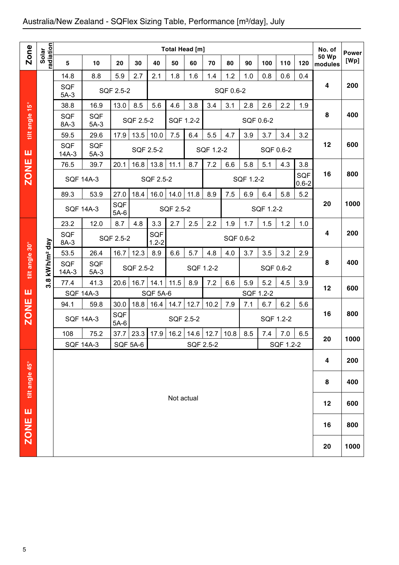## Australia/New Zealand - SQFlex Sizing Table, Performance [m3/day], July

|                |                        |                                                                                               |                      |               |                       |                  | Total Head [m] |                   |           |           |           |           |                  |                  | No. of                  | <b>Power</b> |
|----------------|------------------------|-----------------------------------------------------------------------------------------------|----------------------|---------------|-----------------------|------------------|----------------|-------------------|-----------|-----------|-----------|-----------|------------------|------------------|-------------------------|--------------|
| <b>Zone</b>    | radiation<br>Solar     | 5                                                                                             | 10                   | 20            | 30                    | 40               | 50             | 60                | 70        | 80        | 90        | 100       | 110              | 120              | <b>50 Wp</b><br>modules | [Wp]         |
|                |                        | 14.8                                                                                          | 8.8                  | 5.9           | 2.7                   | 2.1              | 1.8            | 1.6               | 1.4       | 1.2       | 1.0       | 0.8       | 0.6              | 0.4              |                         |              |
|                |                        | <b>SQF</b><br>$5A-3$                                                                          |                      | SQF 2.5-2     |                       |                  |                |                   |           | SQF 0.6-2 |           |           |                  |                  | 4                       | 200          |
|                |                        | 38.8                                                                                          | 16.9                 | 13.0          | 8.5                   | 5.6              | 4.6            | 3.8               | 3.4       | 3.1       | 2.8       | 2.6       | 2.2              | 1.9              |                         |              |
| tilt angle 15° |                        | <b>SQF</b><br>8A-3                                                                            | <b>SQF</b><br>$5A-3$ |               | SQF 2.5-2             |                  | SQF 1.2-2      |                   |           |           |           | SQF 0.6-2 |                  |                  | 8                       | 400          |
|                |                        | 59.5                                                                                          | 29.6                 | 17.9          | 13.5                  | 10.0             | 7.5            | 6.4               | 5.5       | 4.7       | 3.9       | 3.7       | 3.4              | 3.2              |                         |              |
| ш              |                        | <b>SQF</b><br>$14A-3$                                                                         | <b>SQF</b><br>$5A-3$ |               | SQF 2.5-2             |                  |                |                   | SQF 1.2-2 |           |           |           | SQF 0.6-2        |                  | 12                      | 600          |
|                |                        | 76.5                                                                                          | 39.7                 | 20.1          | 16.8                  | 13.8             | 11.1           | 8.7               | 7.2       | 6.6       | 5.8       | 5.1       | 4.3              | 3.8              |                         |              |
| <b>ZONE</b>    |                        | <b>SQF 14A-3</b>                                                                              |                      |               |                       | SQF 2.5-2        |                |                   |           |           | SQF 1.2-2 |           |                  | SQF<br>$0.6 - 2$ | 16                      | 800          |
|                |                        | 89.3                                                                                          | 53.9                 | 27.0          | 18.4                  | 16.0             | 14.0           | 11.8              | 8.9       | 7.5       | 6.9       | 6.4       | 5.8              | 5.2              |                         |              |
|                |                        | <b>SQF 14A-3</b>                                                                              |                      | SQF<br>$5A-6$ |                       |                  | SQF 2.5-2      |                   |           |           |           | SQF 1.2-2 |                  |                  | 20                      | 1000         |
|                |                        | 23.2                                                                                          | 12.0                 | 8.7           | 4.8                   | 3.3              | 2.7            | 2.5               | 2.2       | 1.9       | 1.7       | 1.5       | 1.2              | 1.0              |                         |              |
|                |                        | <b>SQF</b><br>8A-3                                                                            |                      | SQF 2.5-2     |                       | SQF<br>$1.2 - 2$ |                |                   |           | SQF 0.6-2 |           |           |                  |                  | 4                       | 200          |
|                |                        | 53.5                                                                                          | 26.4                 | 16.7          | 12.3                  | 8.9              | 6.6            | 5.7               | 4.8       | 4.0       | 3.7       | 3.5       | 3.2              | 2.9              |                         |              |
| tilt angle 30° | kWh/m <sup>2</sup> day | <b>SQF</b><br><b>SQF</b><br>SQF 2.5-2<br>SQF 1.2-2<br>SQF 0.6-2<br>$14A-3$<br>$5A-3$          |                      |               |                       |                  |                |                   |           |           |           |           |                  | 8                | 400                     |              |
|                | $3.\overline{8}$       | 41.3<br>16.7<br>11.5<br>8.9<br>7.2<br>6.6<br>5.9<br>5.2<br>4.5<br>77.4<br>20.6<br>14.1<br>3.9 |                      |               |                       |                  |                |                   |           |           |           |           | 12               | 600              |                         |              |
| ш              |                        | <b>SQF 14A-3</b>                                                                              |                      |               |                       | SQF 5A-6         |                |                   |           |           |           | SQF 1.2-2 |                  |                  |                         |              |
| <b>ZONE</b>    |                        | 94.1                                                                                          | 59.8                 | 30.0          | 18.8                  | 16.4             | 14.7           | 12.7              | 10.2      | 7.9       | 7.1       | 6.7       | 6.2              | 5.6              | 16                      | 800          |
|                |                        | <b>SQF 14A-3</b>                                                                              |                      | SQF<br>$5A-6$ |                       |                  | SQF 2.5-2      |                   |           |           |           |           | SQF 1.2-2        |                  |                         |              |
|                |                        | 108<br><b>SQF 14A-3</b>                                                                       | 75.2                 | 37.7          | 23.3 17.9<br>SQF 5A-6 |                  | 16.2           | 14.6<br>SQF 2.5-2 | 12.7      | 10.8      | 8.5       | 7.4       | 7.0<br>SQF 1.2-2 | 6.5              | 20                      | 1000         |
|                |                        |                                                                                               |                      |               |                       |                  |                |                   |           |           |           |           |                  |                  |                         |              |
|                |                        |                                                                                               |                      |               |                       |                  |                |                   |           |           |           |           |                  |                  | 4                       | 200          |
| tilt angle 45° |                        |                                                                                               |                      |               |                       |                  |                |                   |           |           |           |           |                  |                  | 8                       | 400          |
|                |                        |                                                                                               |                      |               |                       |                  | Not actual     |                   |           |           |           |           |                  |                  | 12                      | 600          |
| ш              |                        |                                                                                               |                      |               |                       |                  |                |                   |           |           |           |           |                  |                  | 16                      | 800          |
| <b>ZONE</b>    |                        |                                                                                               |                      |               |                       |                  |                |                   |           |           |           |           |                  |                  |                         |              |
|                |                        |                                                                                               |                      |               |                       |                  |                |                   |           |           |           |           |                  |                  | 20                      | 1000         |
| 5              |                        |                                                                                               |                      |               |                       |                  |                |                   |           |           |           |           |                  |                  |                         |              |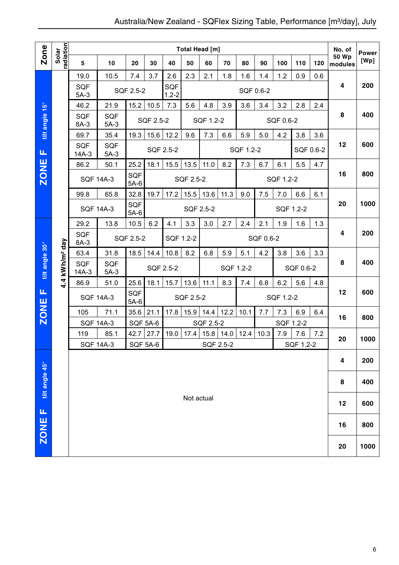|                |                            |                                                               |                      |               |           |                  |            | <b>Total Head [m]</b> |      |           |           |           |            |     | No. of                  | Power |
|----------------|----------------------------|---------------------------------------------------------------|----------------------|---------------|-----------|------------------|------------|-----------------------|------|-----------|-----------|-----------|------------|-----|-------------------------|-------|
| Zone           | Solar<br>radiation         | 5                                                             | 10                   | 20            | 30        | 40               | 50         | 60                    | 70   | 80        | 90        | 100       | 110        | 120 | <b>50 Wp</b><br>modules | [Wp]  |
|                |                            | 19.0                                                          | 10.5                 | 7.4           | 3.7       | 2.6              | 2.3        | 2.1                   | 1.8  | 1.6       | 1.4       | 1.2       | 0.9        | 0.6 |                         |       |
|                |                            | <b>SQF</b><br>$5A-3$                                          |                      | SQF 2.5-2     |           | SQF<br>$1.2 - 2$ |            |                       |      |           | SQF 0.6-2 |           |            |     | $\overline{\mathbf{4}}$ | 200   |
|                |                            | 46.2                                                          | 21.9                 | 15.2          | 10.5      | 7.3              | 5.6        | 4.8                   | 3.9  | 3.6       | 3.4       | 3.2       | 2.8        | 2.4 |                         |       |
| tilt angle 15° |                            | <b>SQF</b><br>8A-3                                            | <b>SQF</b><br>$5A-3$ |               | SQF 2.5-2 |                  |            | SQF 1.2-2             |      |           |           | SQF 0.6-2 |            |     | 8                       | 400   |
|                |                            | 69.7                                                          | 35.4                 | 19.3          | 15.6      | 12.2             | 9.6        | 7.3                   | 6.6  | 5.9       | 5.0       | 4.2       | 3.8        | 3.6 |                         |       |
| Щ              |                            | <b>SQF</b><br>$14A-3$                                         | <b>SQF</b><br>$5A-3$ |               |           | SQF 2.5-2        |            |                       |      | SQF 1.2-2 |           |           | SQF 0.6-2  |     | 12                      | 600   |
|                |                            | 86.2                                                          | 50.1                 | 25.2          | 18.1      | 15.5             | 13.5       | 11.0                  | 8.2  | 7.3       | 6.7       | 6.1       | 5.5        | 4.7 |                         |       |
| <b>ZONE</b>    |                            |                                                               | <b>SQF 14A-3</b>     | SQF<br>$5A-6$ |           |                  | SQF 2.5-2  |                       |      |           |           | SQF 1.2-2 |            |     | 16                      | 800   |
|                |                            | 99.8                                                          | 65.8                 | 32.8          | 19.7      | 17.2             | 15.5       | 13.6                  | 11.3 | 9.0       | 7.5       | 7.0       | 6.6        | 6.1 |                         |       |
|                |                            |                                                               | <b>SQF 14A-3</b>     | SQF<br>$5A-6$ |           |                  |            | SQF 2.5-2             |      |           |           |           | SQF 1.2-2  |     | 20                      | 1000  |
|                |                            | 29.2                                                          | 13.8                 | 10.5          | 6.2       | 4.1              | 3.3        | 3.0                   | 2.7  | 2.4       | 2.1       | 1.9       | 1.6        | 1.3 |                         |       |
|                |                            | <b>SQF</b><br>8A-3                                            |                      | SQF 2.5-2     |           |                  | SQF 1.2-2  |                       |      |           | SQF 0.6-2 |           |            |     | 4                       | 200   |
|                |                            | 63.4                                                          | 31.8                 | 18.5          | 14.4      | 10.8             | 8.2        | 6.8                   | 5.9  | 5.1       | 4.2       | 3.8       | 3.6        | 3.3 |                         |       |
| tilt angle 30° | 4.4 kWh/m <sup>2</sup> day | SQF<br>$14A-3$                                                | <b>SQF</b><br>$5A-3$ |               |           | SQF 2.5-2        |            |                       |      | SQF 1.2-2 |           |           | SQF 0.6-2  |     | 8                       | 400   |
|                |                            | 86.9                                                          | 51.0                 | 25.6          | 18.1      | 15.7             | 13.6       | 11.1                  | 8.3  | 7.4       | 6.8       | 6.2       | 5.6        | 4.8 |                         |       |
| Щ              |                            | <b>SQF 14A-3</b>                                              |                      | SQF<br>$5A-6$ |           |                  | SQF 2.5-2  |                       |      |           |           | SQF 1.2-2 |            |     | 12                      | 600   |
| <b>ZONE</b>    |                            | 105                                                           | 71.1                 | 35.6          | 21.1      | 17.8             | 15.9       | 14.4                  | 12.2 | 10.1      | 7.7       | 7.3       | 6.9<br>6.4 |     | 16                      | 800   |
|                |                            | <b>SQF 14A-3</b>                                              |                      | SQF 5A-6      |           |                  |            | SQF 2.5-2             |      |           |           |           | SQF 1.2-2  |     |                         |       |
|                |                            | 119                                                           | 85.1                 | 42.7          | 27.7      | 19.0             | 17.4       | 15.8                  | 14.0 | 12.4      | 10.3      | 7.9       | 7.6        | 7.2 | 20                      | 1000  |
|                |                            | <b>SQF 5A-6</b><br><b>SQF 14A-3</b><br>SQF 2.5-2<br>SQF 1.2-2 |                      |               |           |                  |            |                       |      |           |           |           |            |     |                         |       |
|                |                            |                                                               |                      |               |           |                  |            |                       |      |           |           |           |            | 4   | 200                     |       |
| tilt angle 45° |                            |                                                               |                      |               |           |                  |            |                       |      |           |           | 8         | 400        |     |                         |       |
| u,             |                            |                                                               |                      |               |           |                  | Not actual |                       |      |           |           |           |            |     | 12                      | 600   |
| ZONE           |                            |                                                               |                      |               |           |                  |            |                       |      |           |           |           | 16         | 800 |                         |       |
|                |                            |                                                               |                      |               |           |                  |            |                       |      |           |           |           |            |     | 20                      | 1000  |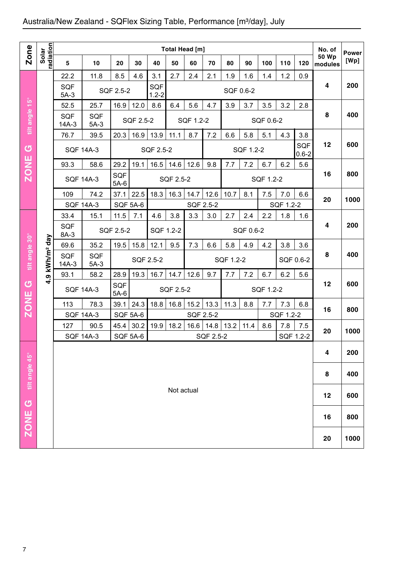## Australia/New Zealand - SQFlex Sizing Table, Performance [m3/day], July

| Zone           |                        |                                                                                              |                      |                      |                         |                  |               | <b>Total Head [m]</b> |                   |           |           |           |           |                  | No. of                  |                      |
|----------------|------------------------|----------------------------------------------------------------------------------------------|----------------------|----------------------|-------------------------|------------------|---------------|-----------------------|-------------------|-----------|-----------|-----------|-----------|------------------|-------------------------|----------------------|
|                | Solar<br>radiation     | 5                                                                                            | 10                   | 20                   | 30                      | 40               | 50            | 60                    | 70                | 80        | 90        | 100       | 110       | 120              | <b>50 Wp</b><br>modules | <b>Power</b><br>[Wp] |
|                |                        | 22.2                                                                                         | 11.8                 | 8.5                  | 4.6                     | 3.1              | 2.7           | 2.4                   | 2.1               | 1.9       | 1.6       | 1.4       | 1.2       | 0.9              |                         |                      |
|                |                        | <b>SQF</b><br>$5A-3$                                                                         |                      | SQF 2.5-2            |                         | SQF<br>$1.2 - 2$ |               |                       |                   | SQF 0.6-2 |           |           |           |                  | 4                       | 200                  |
|                |                        | 52.5                                                                                         | 25.7                 | 16.9                 | 12.0                    | 8.6              | 6.4           | 5.6                   | 4.7               | 3.9       | 3.7       | 3.5       | 3.2       | 2.8              |                         |                      |
| tilt angle 15° |                        | SQF<br>$14A-3$                                                                               | <b>SQF</b><br>$5A-3$ |                      | SQF 2.5-2               |                  |               | SQF 1.2-2             |                   |           |           | SQF 0.6-2 |           |                  | 8                       | 400                  |
|                |                        | 76.7                                                                                         | 39.5                 | 20.3                 |                         | $16.9$   13.9    | 11.1          | 8.7                   | 7.2               | 6.6       | 5.8       | 5.1       | 4.3       | 3.8              |                         |                      |
| <b>්</b>       |                        | <b>SQF 14A-3</b>                                                                             |                      |                      |                         | SQF 2.5-2        |               |                       |                   |           | SQF 1.2-2 |           |           | SQF<br>$0.6 - 2$ | 12                      | 600                  |
| <b>ZONE</b>    |                        | 93.3                                                                                         | 58.6                 | 29.2                 | 19.1                    |                  | $16.5$   14.6 | 12.6                  | 9.8               | 7.7       | 7.2       | 6.7       | 6.2       | 5.6              |                         |                      |
|                |                        | <b>SQF 14A-3</b>                                                                             |                      | <b>SQF</b><br>$5A-6$ |                         |                  | SQF 2.5-2     |                       |                   |           |           | SQF 1.2-2 |           |                  | 16                      | 800                  |
|                |                        | 109                                                                                          | 74.2                 | 37.1                 | 22.5                    | 18.3             | 16.3          | 14.7                  | 12.6              | 10.7      | 8.1       | 7.5       | 7.0       | 6.6              | 20                      | 1000                 |
|                |                        | <b>SQF 14A-3</b>                                                                             |                      | <b>SQF 5A-6</b>      |                         |                  |               | SQF 2.5-2             |                   |           |           |           | SQF 1.2-2 |                  |                         |                      |
|                |                        | 33.4                                                                                         | 15.1                 | 11.5                 | 7.1                     | 4.6              | 3.8           | 3.3                   | 3.0               | 2.7       | 2.4       | 2.2       | 1.8       | 1.6              | 4                       | 200                  |
|                |                        | SQF<br>8A-3                                                                                  |                      | SQF 2.5-2            |                         | SQF 1.2-2        |               |                       |                   |           | SQF 0.6-2 |           |           |                  |                         |                      |
|                |                        | 19.5<br>12.1<br>9.5<br>69.6<br>35.2<br>15.8<br>7.3<br>6.6<br>5.8<br>4.9<br>4.2<br>3.8<br>3.6 |                      |                      |                         |                  |               |                       |                   |           |           |           |           |                  |                         |                      |
| tilt angle 30° | kWh/m <sup>2</sup> day | SQF<br><b>SQF</b><br>SQF 2.5-2<br>SQF 1.2-2<br>SQF 0.6-2<br>$14A-3$<br>$5A-3$                |                      |                      |                         |                  |               |                       |                   |           |           |           |           | 8                | 400                     |                      |
|                | თ<br>÷                 | 93.1                                                                                         | 58.2                 | 28.9                 | 19.3                    | 16.7             | 14.7          | 12.6                  | 9.7               | 7.7       | 7.2       | 6.7       | 6.2       | 5.6              |                         |                      |
| U              |                        | <b>SQF 14A-3</b>                                                                             |                      | SQF<br>$5A-6$        |                         |                  | SQF 2.5-2     |                       |                   |           |           | SQF 1.2-2 |           |                  | 12                      | 600                  |
| <b>ZONE</b>    |                        | 113                                                                                          | 78.3                 | 39.1                 | 24.3                    | 18.8             | 16.8          | 15.2                  | 13.3              | 11.3      | 8.8       | 7.7       | 7.3       | 6.8              | 16                      | 800                  |
|                |                        | <b>SQF 14A-3</b>                                                                             |                      | <b>SQF 5A-6</b>      |                         |                  |               | SQF 2.5-2             |                   |           |           |           | SQF 1.2-2 |                  |                         |                      |
|                |                        | 127<br><b>SQF 14A-3</b>                                                                      | 90.5                 | 45.4                 | 30.2<br><b>SQF 5A-6</b> | 19.9             | 18.2          | 16.6                  | 14.8<br>SQF 2.5-2 | 13.2      | 11.4      | 8.6       | 7.8       | 7.5<br>SOF 1.2-2 | 20                      | 1000                 |
|                |                        |                                                                                              |                      |                      |                         |                  |               |                       |                   |           |           |           |           |                  | 4                       | 200                  |
| tilt angle 45° |                        |                                                                                              |                      |                      |                         |                  |               |                       |                   |           |           |           |           |                  | 8                       | 400                  |
|                |                        |                                                                                              |                      |                      |                         |                  | Not actual    |                       |                   |           |           |           |           |                  |                         |                      |
| ပ              |                        |                                                                                              |                      |                      |                         |                  |               |                       |                   |           |           |           |           |                  | 12                      | 600                  |
| <b>ZONE</b>    |                        |                                                                                              |                      |                      |                         |                  |               |                       |                   |           |           |           |           |                  | 16                      | 800                  |
|                |                        |                                                                                              |                      |                      |                         |                  |               |                       |                   |           |           |           |           |                  | 20                      | 1000                 |